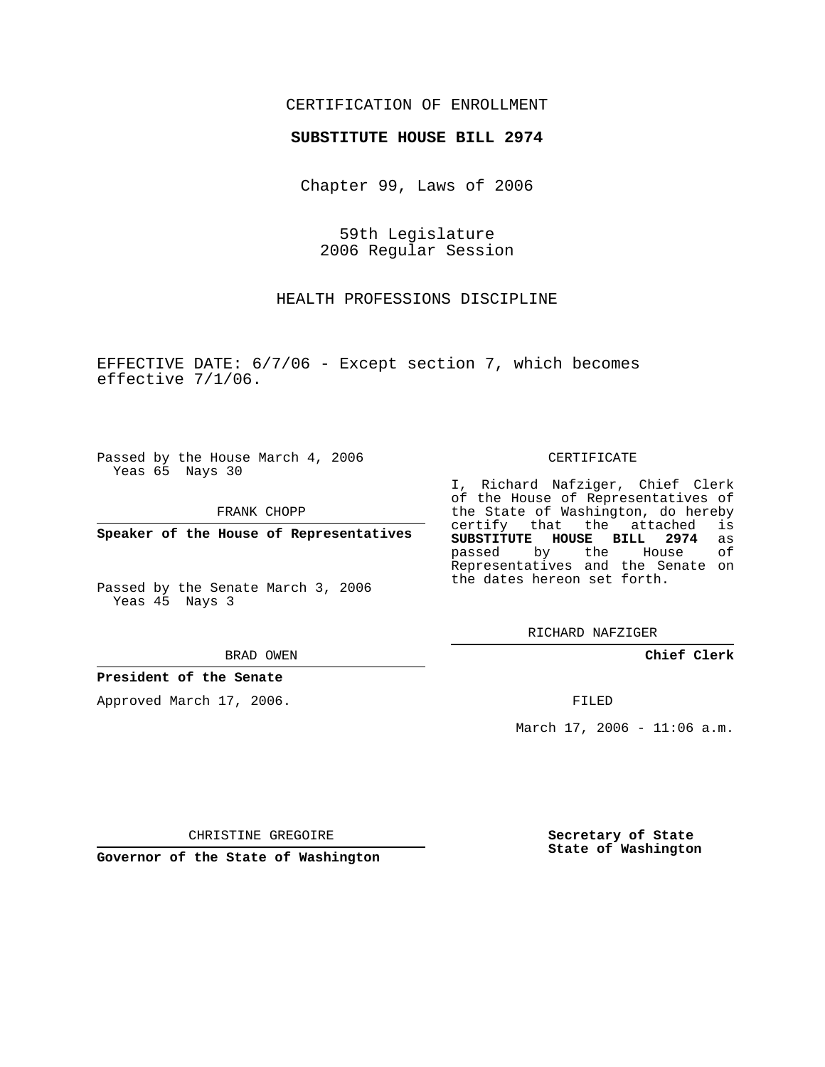## CERTIFICATION OF ENROLLMENT

## **SUBSTITUTE HOUSE BILL 2974**

Chapter 99, Laws of 2006

59th Legislature 2006 Regular Session

HEALTH PROFESSIONS DISCIPLINE

EFFECTIVE DATE: 6/7/06 - Except section 7, which becomes effective 7/1/06.

Passed by the House March 4, 2006 Yeas 65 Nays 30

FRANK CHOPP

**Speaker of the House of Representatives**

Passed by the Senate March 3, 2006 Yeas 45 Nays 3

BRAD OWEN

## **President of the Senate**

Approved March 17, 2006.

CERTIFICATE

I, Richard Nafziger, Chief Clerk of the House of Representatives of the State of Washington, do hereby<br>certify that the attached is certify that the attached **SUBSTITUTE HOUSE BILL 2974** as passed by the House of Representatives and the Senate on the dates hereon set forth.

RICHARD NAFZIGER

**Chief Clerk**

FILED

March  $17, 2006 - 11:06$  a.m.

CHRISTINE GREGOIRE

**Governor of the State of Washington**

**Secretary of State State of Washington**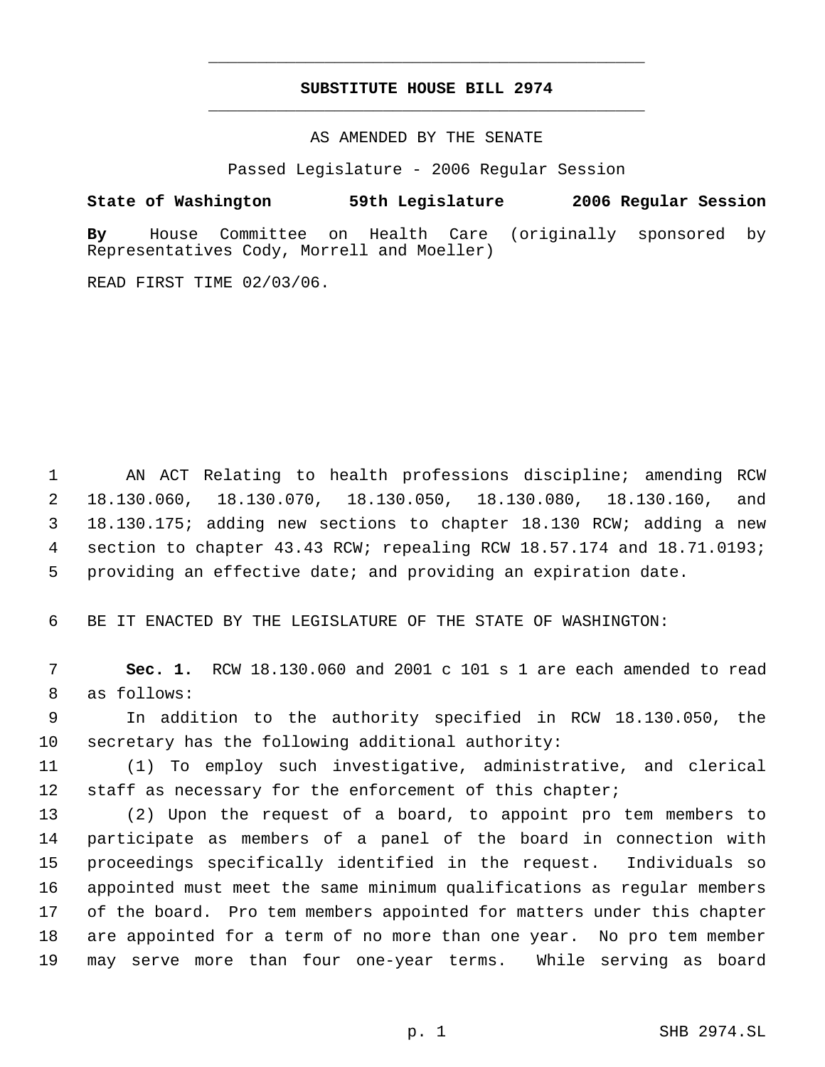## **SUBSTITUTE HOUSE BILL 2974** \_\_\_\_\_\_\_\_\_\_\_\_\_\_\_\_\_\_\_\_\_\_\_\_\_\_\_\_\_\_\_\_\_\_\_\_\_\_\_\_\_\_\_\_\_

\_\_\_\_\_\_\_\_\_\_\_\_\_\_\_\_\_\_\_\_\_\_\_\_\_\_\_\_\_\_\_\_\_\_\_\_\_\_\_\_\_\_\_\_\_

AS AMENDED BY THE SENATE

Passed Legislature - 2006 Regular Session

**State of Washington 59th Legislature 2006 Regular Session**

**By** House Committee on Health Care (originally sponsored by Representatives Cody, Morrell and Moeller)

READ FIRST TIME 02/03/06.

 AN ACT Relating to health professions discipline; amending RCW 18.130.060, 18.130.070, 18.130.050, 18.130.080, 18.130.160, and 18.130.175; adding new sections to chapter 18.130 RCW; adding a new section to chapter 43.43 RCW; repealing RCW 18.57.174 and 18.71.0193; providing an effective date; and providing an expiration date.

BE IT ENACTED BY THE LEGISLATURE OF THE STATE OF WASHINGTON:

 **Sec. 1.** RCW 18.130.060 and 2001 c 101 s 1 are each amended to read as follows:

 In addition to the authority specified in RCW 18.130.050, the secretary has the following additional authority:

 (1) To employ such investigative, administrative, and clerical 12 staff as necessary for the enforcement of this chapter;

 (2) Upon the request of a board, to appoint pro tem members to participate as members of a panel of the board in connection with proceedings specifically identified in the request. Individuals so appointed must meet the same minimum qualifications as regular members of the board. Pro tem members appointed for matters under this chapter are appointed for a term of no more than one year. No pro tem member may serve more than four one-year terms. While serving as board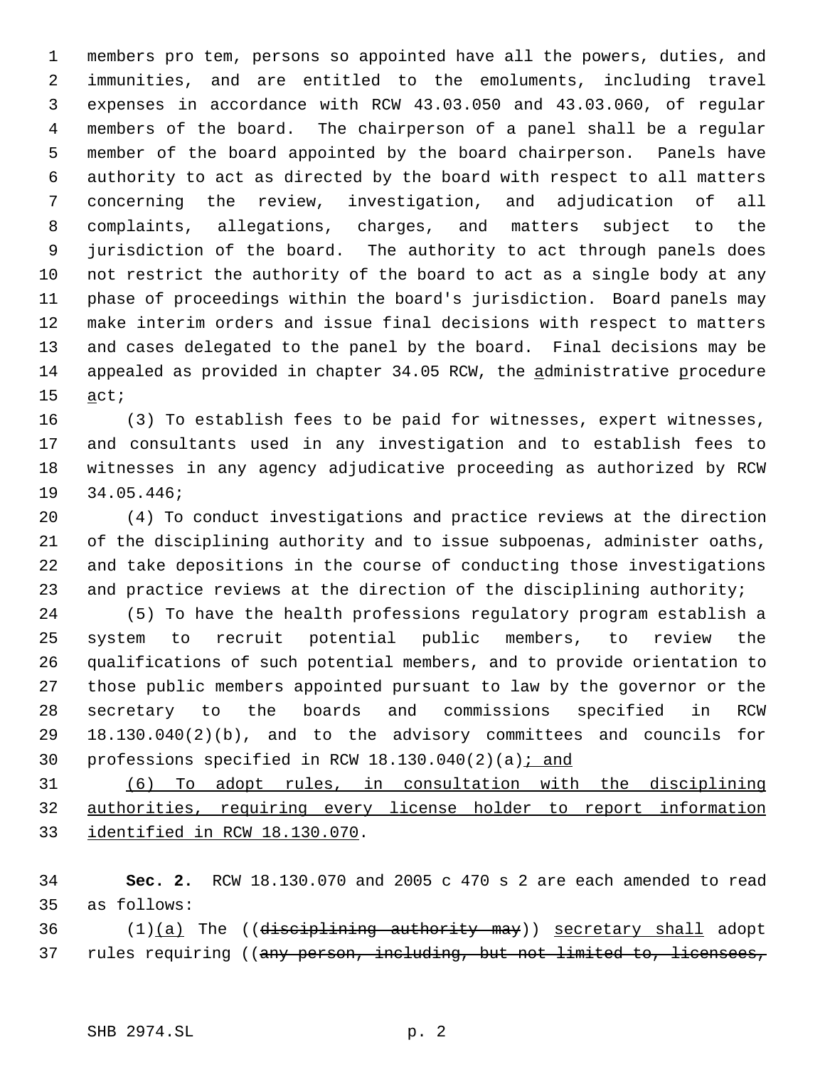members pro tem, persons so appointed have all the powers, duties, and immunities, and are entitled to the emoluments, including travel expenses in accordance with RCW 43.03.050 and 43.03.060, of regular members of the board. The chairperson of a panel shall be a regular member of the board appointed by the board chairperson. Panels have authority to act as directed by the board with respect to all matters concerning the review, investigation, and adjudication of all complaints, allegations, charges, and matters subject to the jurisdiction of the board. The authority to act through panels does not restrict the authority of the board to act as a single body at any phase of proceedings within the board's jurisdiction. Board panels may make interim orders and issue final decisions with respect to matters and cases delegated to the panel by the board. Final decisions may be 14 appealed as provided in chapter 34.05 RCW, the administrative procedure act;

 (3) To establish fees to be paid for witnesses, expert witnesses, and consultants used in any investigation and to establish fees to witnesses in any agency adjudicative proceeding as authorized by RCW 34.05.446;

 (4) To conduct investigations and practice reviews at the direction of the disciplining authority and to issue subpoenas, administer oaths, and take depositions in the course of conducting those investigations 23 and practice reviews at the direction of the disciplining authority;

 (5) To have the health professions regulatory program establish a system to recruit potential public members, to review the qualifications of such potential members, and to provide orientation to those public members appointed pursuant to law by the governor or the secretary to the boards and commissions specified in RCW 18.130.040(2)(b), and to the advisory committees and councils for 30 professions specified in RCW  $18.130.040(2)(a)$  *i* and

 (6) To adopt rules, in consultation with the disciplining authorities, requiring every license holder to report information identified in RCW 18.130.070.

 **Sec. 2.** RCW 18.130.070 and 2005 c 470 s 2 are each amended to read as follows:

 $(1)(a)$  The ((disciplining authority may)) secretary shall adopt 37 rules requiring ((any person, including, but not limited to, licensees,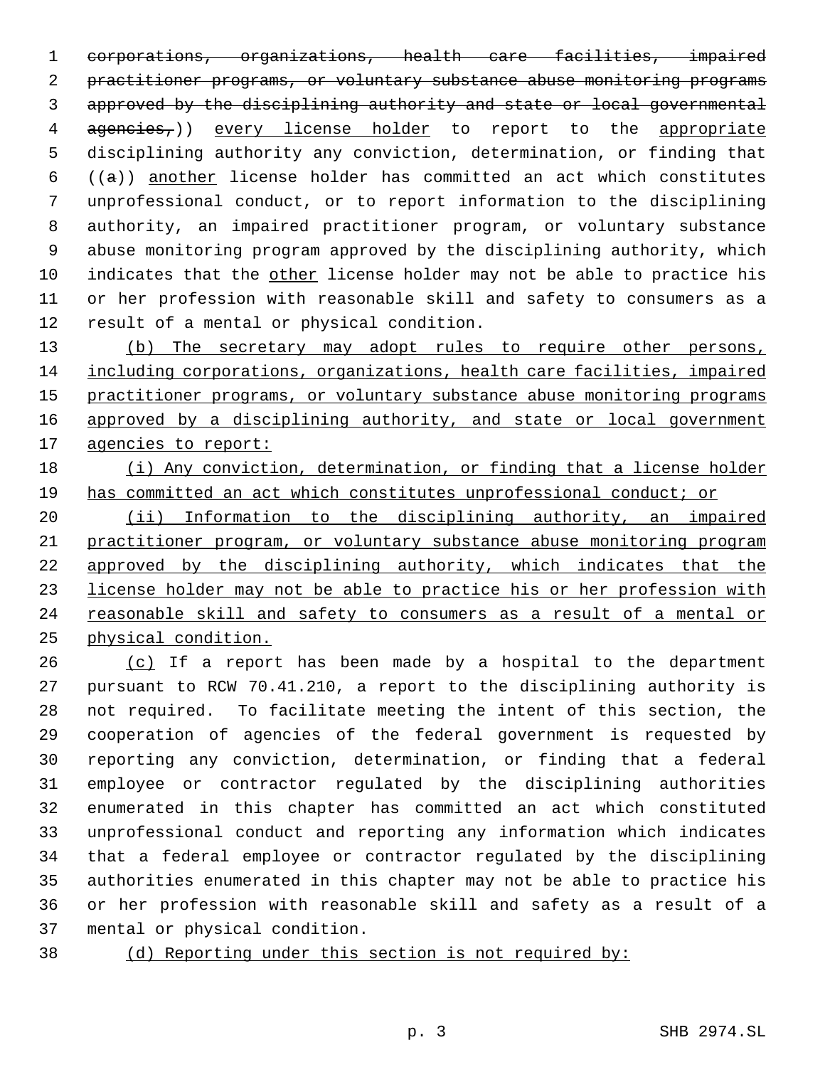corporations, organizations, health care facilities, impaired practitioner programs, or voluntary substance abuse monitoring programs approved by the disciplining authority and state or local governmental 4 agencies,)) every license holder to report to the appropriate disciplining authority any conviction, determination, or finding that  $((a))$  another license holder has committed an act which constitutes unprofessional conduct, or to report information to the disciplining authority, an impaired practitioner program, or voluntary substance abuse monitoring program approved by the disciplining authority, which indicates that the other license holder may not be able to practice his or her profession with reasonable skill and safety to consumers as a result of a mental or physical condition.

13 (b) The secretary may adopt rules to require other persons, including corporations, organizations, health care facilities, impaired 15 practitioner programs, or voluntary substance abuse monitoring programs 16 approved by a disciplining authority, and state or local government 17 agencies to report:

 (i) Any conviction, determination, or finding that a license holder has committed an act which constitutes unprofessional conduct; or

 (ii) Information to the disciplining authority, an impaired practitioner program, or voluntary substance abuse monitoring program approved by the disciplining authority, which indicates that the license holder may not be able to practice his or her profession with reasonable skill and safety to consumers as a result of a mental or physical condition.

 (c) If a report has been made by a hospital to the department pursuant to RCW 70.41.210, a report to the disciplining authority is not required. To facilitate meeting the intent of this section, the cooperation of agencies of the federal government is requested by reporting any conviction, determination, or finding that a federal employee or contractor regulated by the disciplining authorities enumerated in this chapter has committed an act which constituted unprofessional conduct and reporting any information which indicates that a federal employee or contractor regulated by the disciplining authorities enumerated in this chapter may not be able to practice his or her profession with reasonable skill and safety as a result of a mental or physical condition.

(d) Reporting under this section is not required by: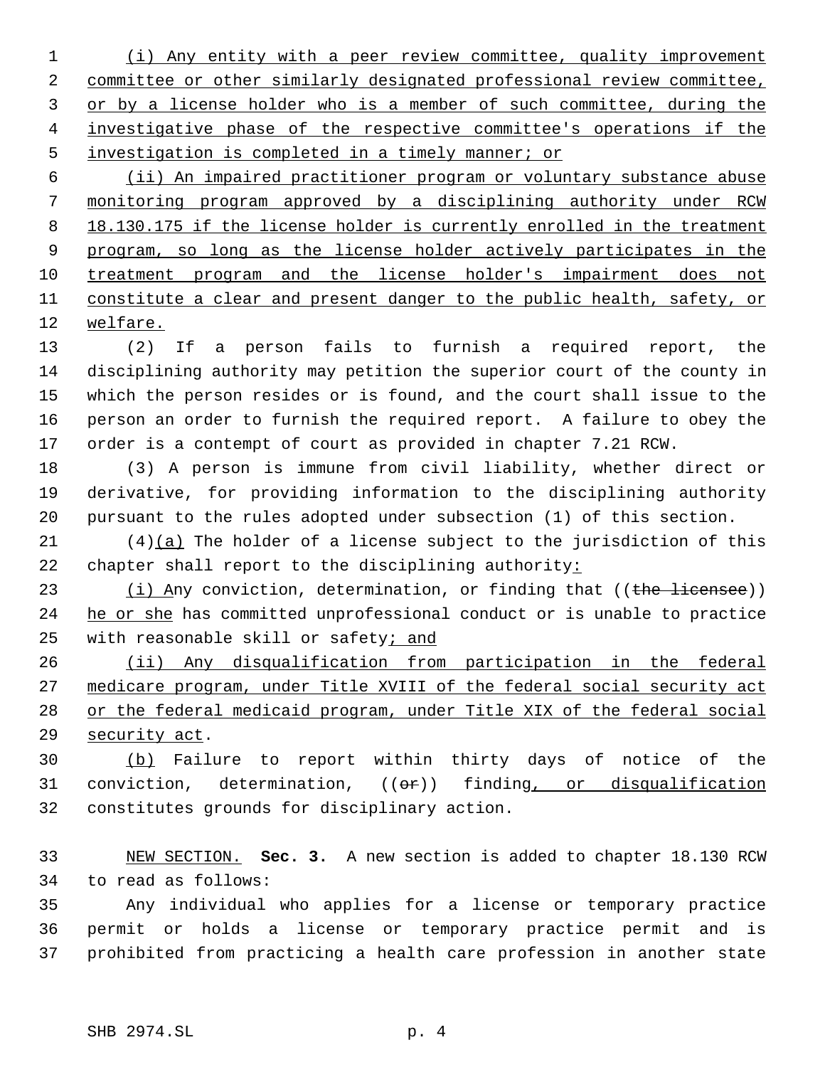(i) Any entity with a peer review committee, quality improvement committee or other similarly designated professional review committee, or by a license holder who is a member of such committee, during the investigative phase of the respective committee's operations if the investigation is completed in a timely manner; or

 (ii) An impaired practitioner program or voluntary substance abuse monitoring program approved by a disciplining authority under RCW 8 18.130.175 if the license holder is currently enrolled in the treatment program, so long as the license holder actively participates in the treatment program and the license holder's impairment does not 11 constitute a clear and present danger to the public health, safety, or welfare.

 (2) If a person fails to furnish a required report, the disciplining authority may petition the superior court of the county in which the person resides or is found, and the court shall issue to the person an order to furnish the required report. A failure to obey the order is a contempt of court as provided in chapter 7.21 RCW.

 (3) A person is immune from civil liability, whether direct or derivative, for providing information to the disciplining authority pursuant to the rules adopted under subsection (1) of this section.

 (4)(a) The holder of a license subject to the jurisdiction of this 22 chapter shall report to the disciplining authority:

23  $(i)$  Any conviction, determination, or finding that ((the licensee)) 24 he or she has committed unprofessional conduct or is unable to practice with reasonable skill or safety; and

 (ii) Any disqualification from participation in the federal medicare program, under Title XVIII of the federal social security act or the federal medicaid program, under Title XIX of the federal social security act.

 (b) Failure to report within thirty days of notice of the 31 conviction, determination, ((or)) finding, or disqualification constitutes grounds for disciplinary action.

 NEW SECTION. **Sec. 3.** A new section is added to chapter 18.130 RCW to read as follows:

 Any individual who applies for a license or temporary practice permit or holds a license or temporary practice permit and is prohibited from practicing a health care profession in another state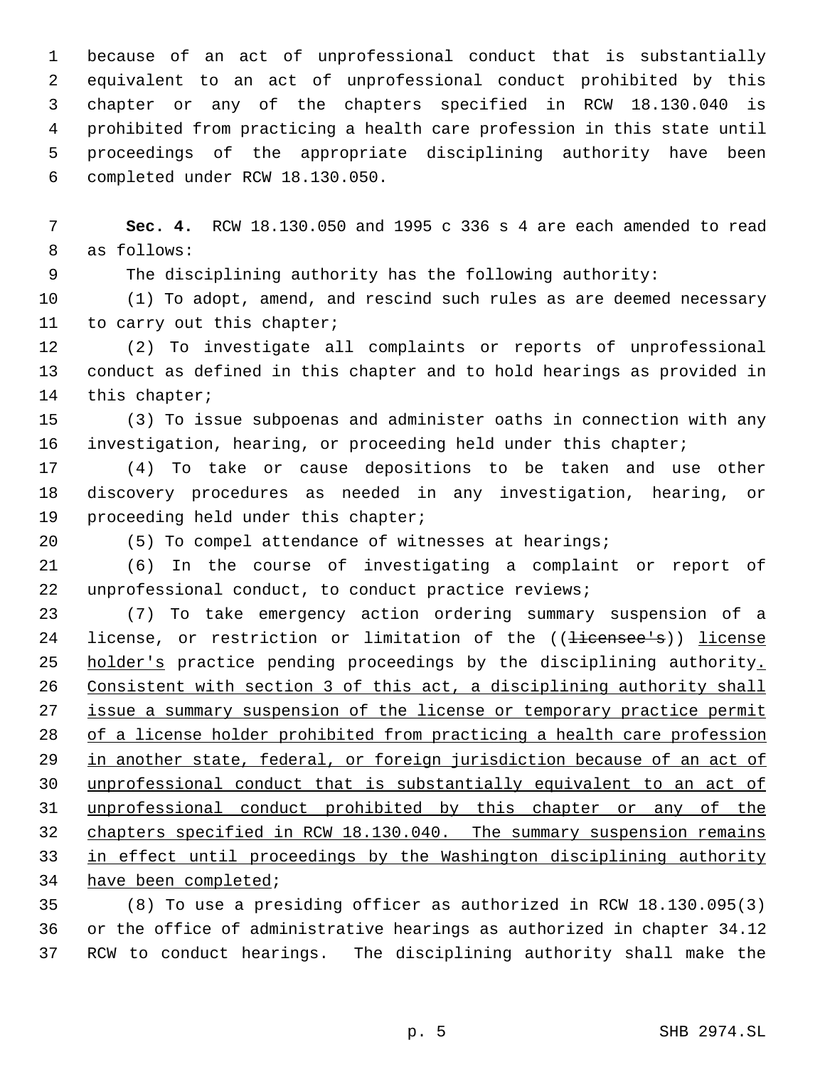because of an act of unprofessional conduct that is substantially equivalent to an act of unprofessional conduct prohibited by this chapter or any of the chapters specified in RCW 18.130.040 is prohibited from practicing a health care profession in this state until proceedings of the appropriate disciplining authority have been completed under RCW 18.130.050.

 **Sec. 4.** RCW 18.130.050 and 1995 c 336 s 4 are each amended to read as follows:

The disciplining authority has the following authority:

 (1) To adopt, amend, and rescind such rules as are deemed necessary to carry out this chapter;

 (2) To investigate all complaints or reports of unprofessional conduct as defined in this chapter and to hold hearings as provided in this chapter;

 (3) To issue subpoenas and administer oaths in connection with any investigation, hearing, or proceeding held under this chapter;

 (4) To take or cause depositions to be taken and use other discovery procedures as needed in any investigation, hearing, or proceeding held under this chapter;

(5) To compel attendance of witnesses at hearings;

 (6) In the course of investigating a complaint or report of unprofessional conduct, to conduct practice reviews;

 (7) To take emergency action ordering summary suspension of a 24 license, or restriction or limitation of the ((<del>licensee's</del>)) license 25 holder's practice pending proceedings by the disciplining authority. Consistent with section 3 of this act, a disciplining authority shall 27 issue a summary suspension of the license or temporary practice permit of a license holder prohibited from practicing a health care profession 29 in another state, federal, or foreign jurisdiction because of an act of unprofessional conduct that is substantially equivalent to an act of unprofessional conduct prohibited by this chapter or any of the 32 chapters specified in RCW 18.130.040. The summary suspension remains in effect until proceedings by the Washington disciplining authority have been completed;

 (8) To use a presiding officer as authorized in RCW 18.130.095(3) or the office of administrative hearings as authorized in chapter 34.12 RCW to conduct hearings. The disciplining authority shall make the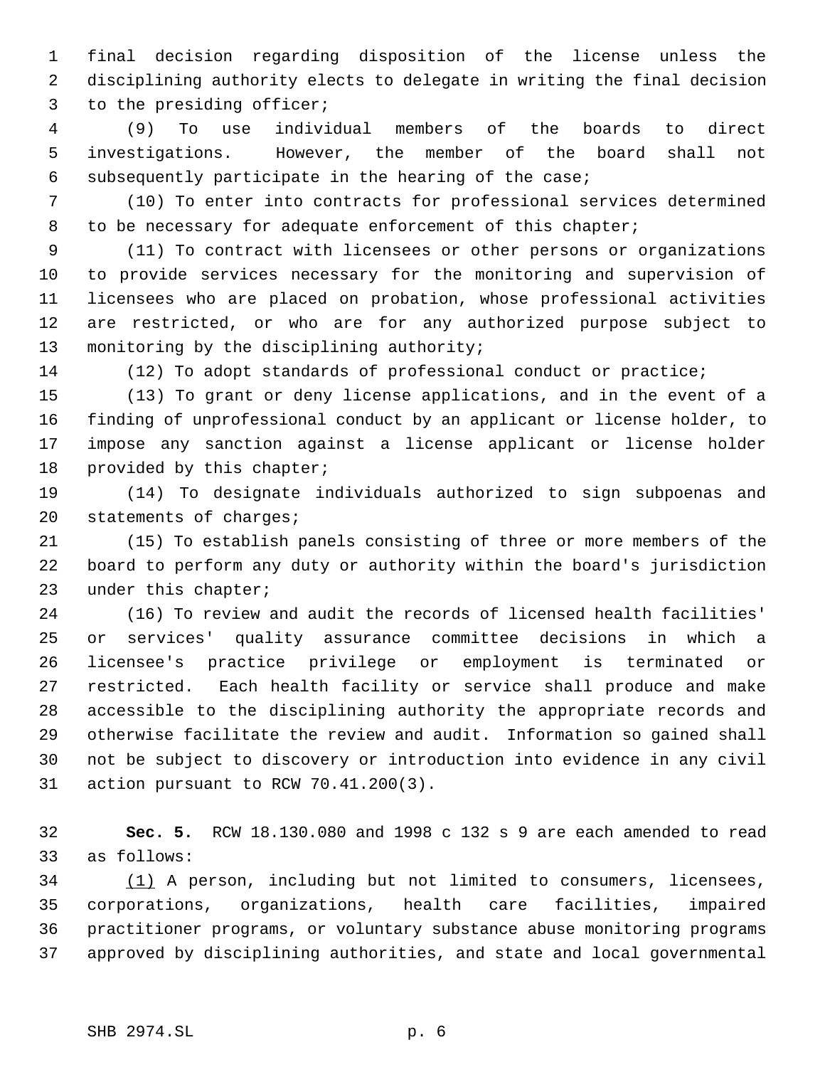final decision regarding disposition of the license unless the disciplining authority elects to delegate in writing the final decision to the presiding officer;

 (9) To use individual members of the boards to direct investigations. However, the member of the board shall not subsequently participate in the hearing of the case;

 (10) To enter into contracts for professional services determined 8 to be necessary for adequate enforcement of this chapter;

 (11) To contract with licensees or other persons or organizations to provide services necessary for the monitoring and supervision of licensees who are placed on probation, whose professional activities are restricted, or who are for any authorized purpose subject to monitoring by the disciplining authority;

(12) To adopt standards of professional conduct or practice;

 (13) To grant or deny license applications, and in the event of a finding of unprofessional conduct by an applicant or license holder, to impose any sanction against a license applicant or license holder provided by this chapter;

 (14) To designate individuals authorized to sign subpoenas and statements of charges;

 (15) To establish panels consisting of three or more members of the board to perform any duty or authority within the board's jurisdiction under this chapter;

 (16) To review and audit the records of licensed health facilities' or services' quality assurance committee decisions in which a licensee's practice privilege or employment is terminated or restricted. Each health facility or service shall produce and make accessible to the disciplining authority the appropriate records and otherwise facilitate the review and audit. Information so gained shall not be subject to discovery or introduction into evidence in any civil action pursuant to RCW 70.41.200(3).

 **Sec. 5.** RCW 18.130.080 and 1998 c 132 s 9 are each amended to read as follows:

34 (1) A person, including but not limited to consumers, licensees, corporations, organizations, health care facilities, impaired practitioner programs, or voluntary substance abuse monitoring programs approved by disciplining authorities, and state and local governmental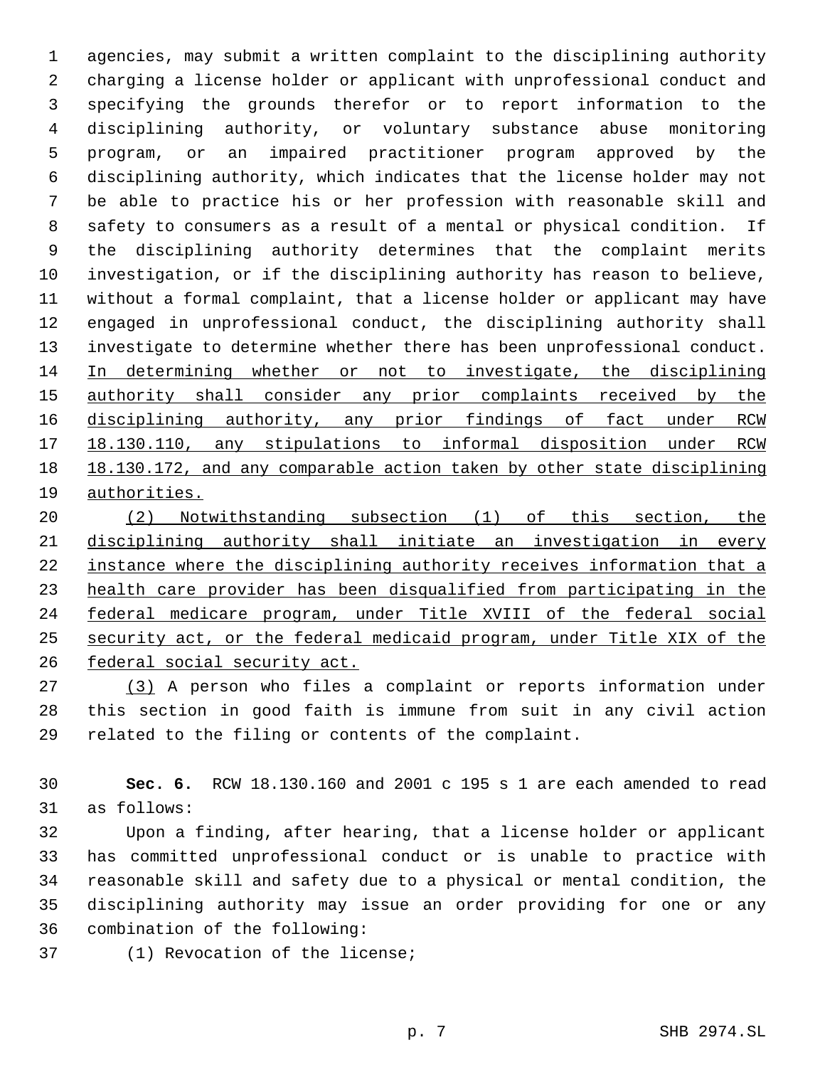agencies, may submit a written complaint to the disciplining authority charging a license holder or applicant with unprofessional conduct and specifying the grounds therefor or to report information to the disciplining authority, or voluntary substance abuse monitoring program, or an impaired practitioner program approved by the disciplining authority, which indicates that the license holder may not be able to practice his or her profession with reasonable skill and safety to consumers as a result of a mental or physical condition. If the disciplining authority determines that the complaint merits investigation, or if the disciplining authority has reason to believe, without a formal complaint, that a license holder or applicant may have engaged in unprofessional conduct, the disciplining authority shall investigate to determine whether there has been unprofessional conduct. In determining whether or not to investigate, the disciplining authority shall consider any prior complaints received by the disciplining authority, any prior findings of fact under RCW 18.130.110, any stipulations to informal disposition under RCW 18.130.172, and any comparable action taken by other state disciplining authorities.

 (2) Notwithstanding subsection (1) of this section, the disciplining authority shall initiate an investigation in every instance where the disciplining authority receives information that a health care provider has been disqualified from participating in the federal medicare program, under Title XVIII of the federal social security act, or the federal medicaid program, under Title XIX of the federal social security act.

 (3) A person who files a complaint or reports information under this section in good faith is immune from suit in any civil action related to the filing or contents of the complaint.

 **Sec. 6.** RCW 18.130.160 and 2001 c 195 s 1 are each amended to read as follows:

 Upon a finding, after hearing, that a license holder or applicant has committed unprofessional conduct or is unable to practice with reasonable skill and safety due to a physical or mental condition, the disciplining authority may issue an order providing for one or any combination of the following:

(1) Revocation of the license;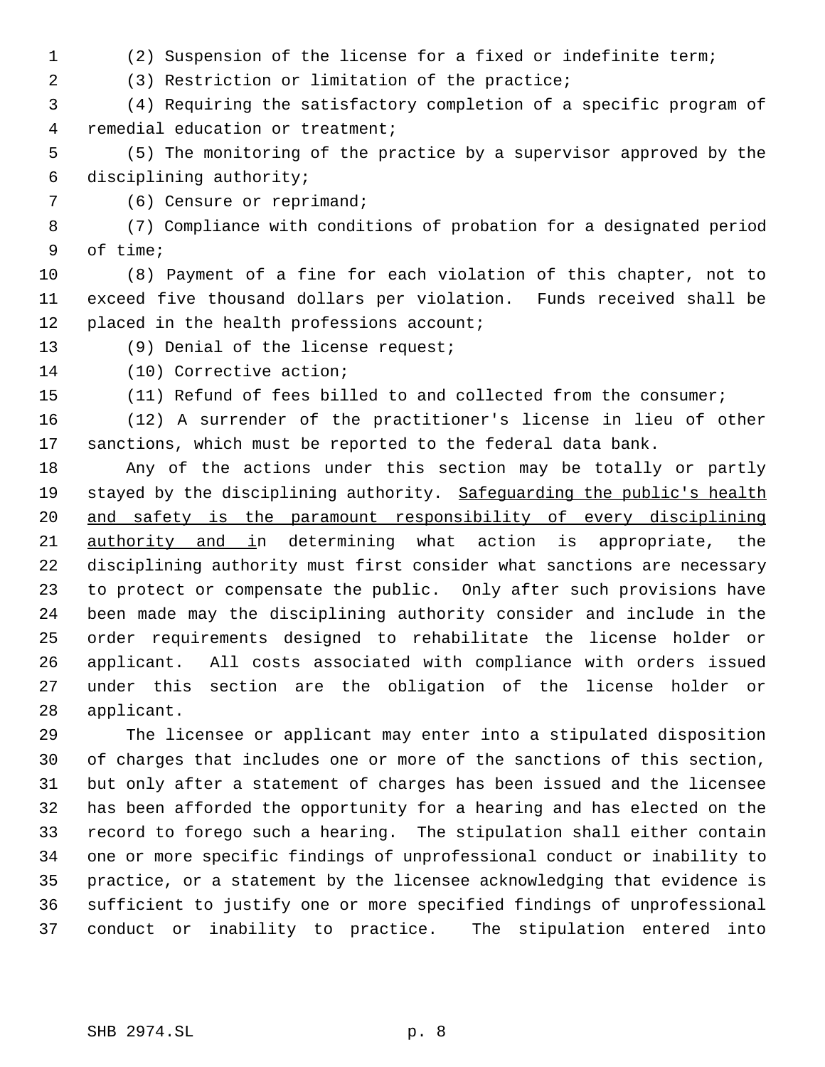- (2) Suspension of the license for a fixed or indefinite term;
- (3) Restriction or limitation of the practice;

 (4) Requiring the satisfactory completion of a specific program of remedial education or treatment;

 (5) The monitoring of the practice by a supervisor approved by the disciplining authority;

(6) Censure or reprimand;

 (7) Compliance with conditions of probation for a designated period of time;

 (8) Payment of a fine for each violation of this chapter, not to exceed five thousand dollars per violation. Funds received shall be 12 placed in the health professions account;

(9) Denial of the license request;

(10) Corrective action;

(11) Refund of fees billed to and collected from the consumer;

 (12) A surrender of the practitioner's license in lieu of other sanctions, which must be reported to the federal data bank.

 Any of the actions under this section may be totally or partly 19 stayed by the disciplining authority. Safeguarding the public's health and safety is the paramount responsibility of every disciplining 21 authority and in determining what action is appropriate, the disciplining authority must first consider what sanctions are necessary to protect or compensate the public. Only after such provisions have been made may the disciplining authority consider and include in the order requirements designed to rehabilitate the license holder or applicant. All costs associated with compliance with orders issued under this section are the obligation of the license holder or applicant.

 The licensee or applicant may enter into a stipulated disposition of charges that includes one or more of the sanctions of this section, but only after a statement of charges has been issued and the licensee has been afforded the opportunity for a hearing and has elected on the record to forego such a hearing. The stipulation shall either contain one or more specific findings of unprofessional conduct or inability to practice, or a statement by the licensee acknowledging that evidence is sufficient to justify one or more specified findings of unprofessional conduct or inability to practice. The stipulation entered into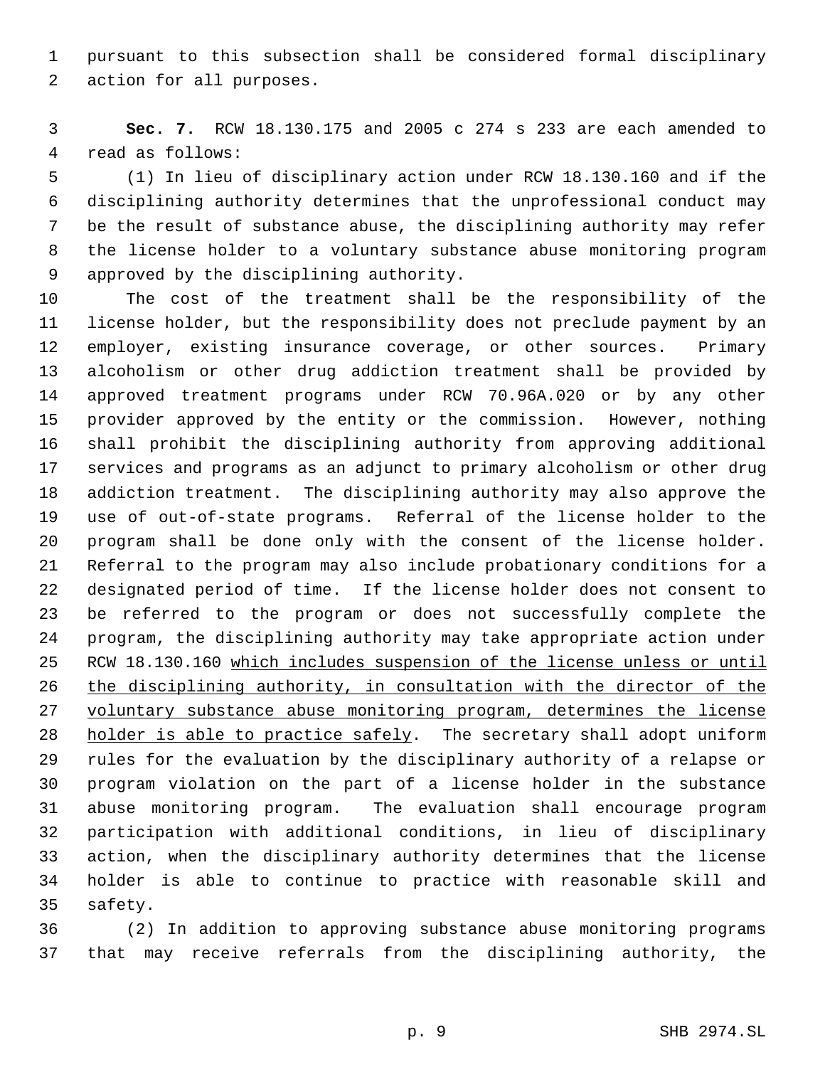pursuant to this subsection shall be considered formal disciplinary action for all purposes.

 **Sec. 7.** RCW 18.130.175 and 2005 c 274 s 233 are each amended to read as follows:

 (1) In lieu of disciplinary action under RCW 18.130.160 and if the disciplining authority determines that the unprofessional conduct may be the result of substance abuse, the disciplining authority may refer the license holder to a voluntary substance abuse monitoring program approved by the disciplining authority.

 The cost of the treatment shall be the responsibility of the license holder, but the responsibility does not preclude payment by an employer, existing insurance coverage, or other sources. Primary alcoholism or other drug addiction treatment shall be provided by approved treatment programs under RCW 70.96A.020 or by any other provider approved by the entity or the commission. However, nothing shall prohibit the disciplining authority from approving additional services and programs as an adjunct to primary alcoholism or other drug addiction treatment. The disciplining authority may also approve the use of out-of-state programs. Referral of the license holder to the program shall be done only with the consent of the license holder. Referral to the program may also include probationary conditions for a designated period of time. If the license holder does not consent to be referred to the program or does not successfully complete the program, the disciplining authority may take appropriate action under 25 RCW 18.130.160 which includes suspension of the license unless or until the disciplining authority, in consultation with the director of the voluntary substance abuse monitoring program, determines the license 28 holder is able to practice safely. The secretary shall adopt uniform rules for the evaluation by the disciplinary authority of a relapse or program violation on the part of a license holder in the substance abuse monitoring program. The evaluation shall encourage program participation with additional conditions, in lieu of disciplinary action, when the disciplinary authority determines that the license holder is able to continue to practice with reasonable skill and safety.

 (2) In addition to approving substance abuse monitoring programs that may receive referrals from the disciplining authority, the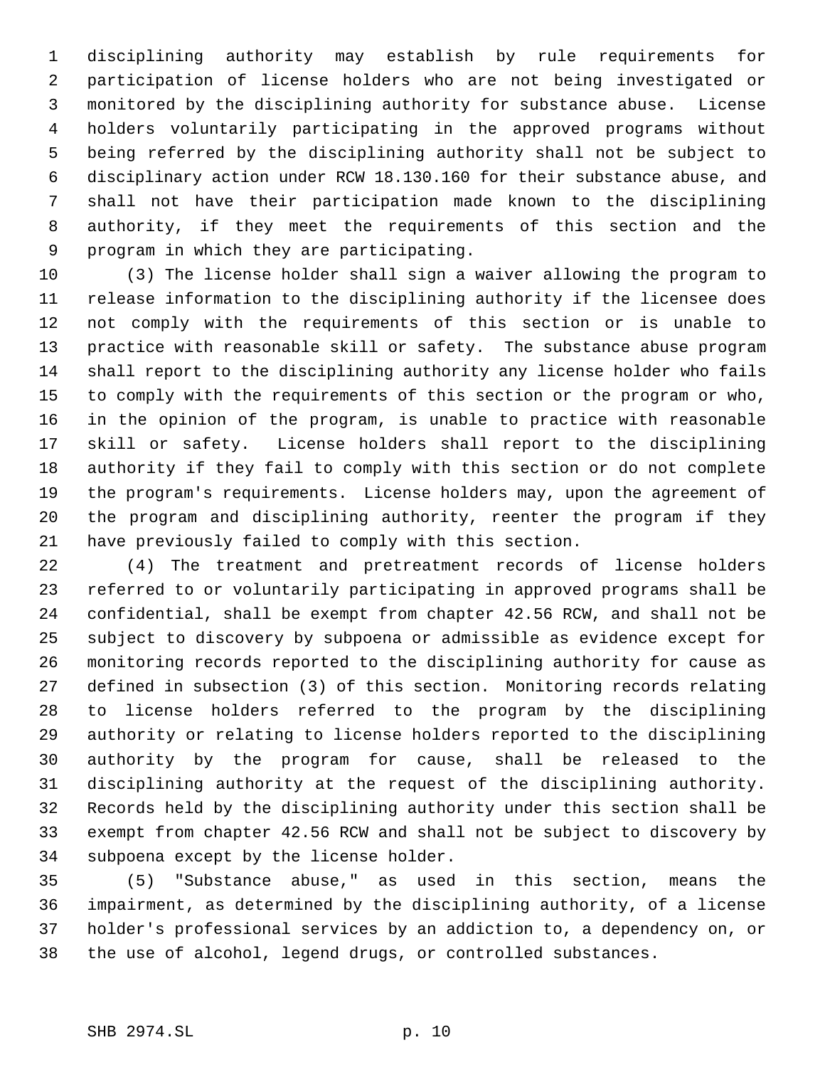disciplining authority may establish by rule requirements for participation of license holders who are not being investigated or monitored by the disciplining authority for substance abuse. License holders voluntarily participating in the approved programs without being referred by the disciplining authority shall not be subject to disciplinary action under RCW 18.130.160 for their substance abuse, and shall not have their participation made known to the disciplining authority, if they meet the requirements of this section and the program in which they are participating.

 (3) The license holder shall sign a waiver allowing the program to release information to the disciplining authority if the licensee does not comply with the requirements of this section or is unable to practice with reasonable skill or safety. The substance abuse program shall report to the disciplining authority any license holder who fails to comply with the requirements of this section or the program or who, in the opinion of the program, is unable to practice with reasonable skill or safety. License holders shall report to the disciplining authority if they fail to comply with this section or do not complete the program's requirements. License holders may, upon the agreement of the program and disciplining authority, reenter the program if they have previously failed to comply with this section.

 (4) The treatment and pretreatment records of license holders referred to or voluntarily participating in approved programs shall be confidential, shall be exempt from chapter 42.56 RCW, and shall not be subject to discovery by subpoena or admissible as evidence except for monitoring records reported to the disciplining authority for cause as defined in subsection (3) of this section. Monitoring records relating to license holders referred to the program by the disciplining authority or relating to license holders reported to the disciplining authority by the program for cause, shall be released to the disciplining authority at the request of the disciplining authority. Records held by the disciplining authority under this section shall be exempt from chapter 42.56 RCW and shall not be subject to discovery by subpoena except by the license holder.

 (5) "Substance abuse," as used in this section, means the impairment, as determined by the disciplining authority, of a license holder's professional services by an addiction to, a dependency on, or the use of alcohol, legend drugs, or controlled substances.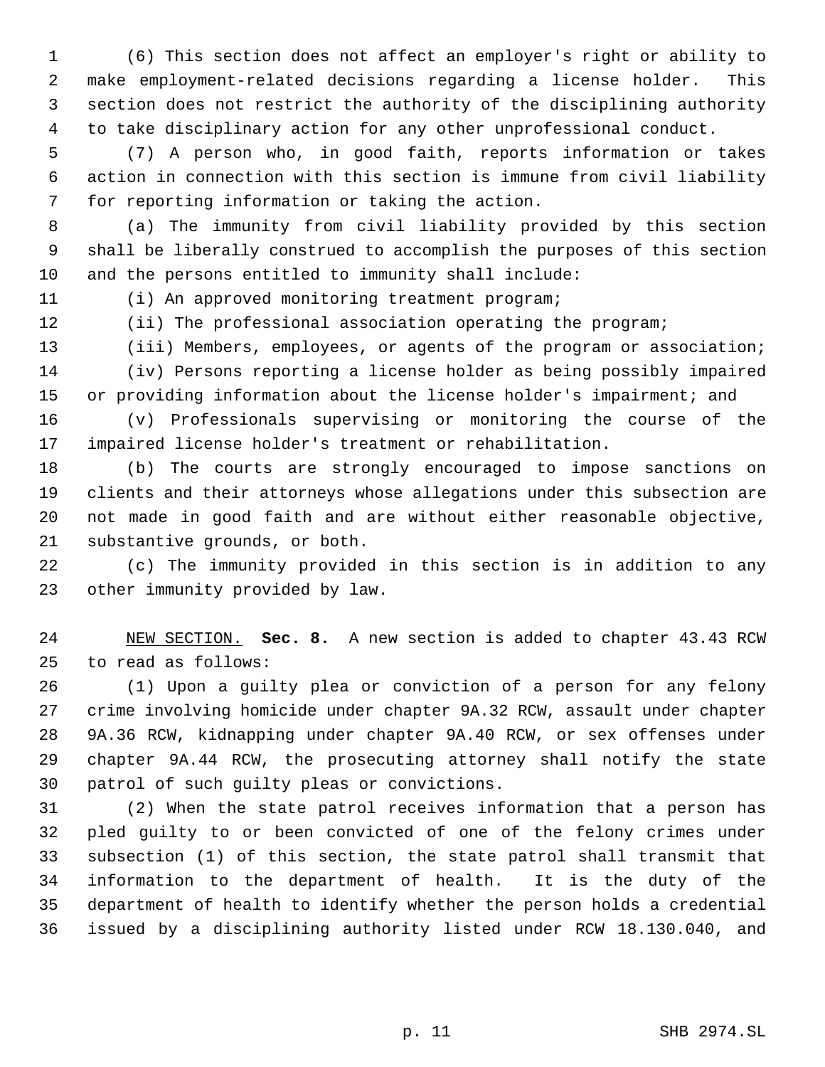(6) This section does not affect an employer's right or ability to make employment-related decisions regarding a license holder. This section does not restrict the authority of the disciplining authority to take disciplinary action for any other unprofessional conduct.

 (7) A person who, in good faith, reports information or takes action in connection with this section is immune from civil liability for reporting information or taking the action.

 (a) The immunity from civil liability provided by this section shall be liberally construed to accomplish the purposes of this section and the persons entitled to immunity shall include:

(i) An approved monitoring treatment program;

(ii) The professional association operating the program;

13 (iii) Members, employees, or agents of the program or association; (iv) Persons reporting a license holder as being possibly impaired or providing information about the license holder's impairment; and

 (v) Professionals supervising or monitoring the course of the impaired license holder's treatment or rehabilitation.

 (b) The courts are strongly encouraged to impose sanctions on clients and their attorneys whose allegations under this subsection are not made in good faith and are without either reasonable objective, substantive grounds, or both.

 (c) The immunity provided in this section is in addition to any other immunity provided by law.

 NEW SECTION. **Sec. 8.** A new section is added to chapter 43.43 RCW to read as follows:

 (1) Upon a guilty plea or conviction of a person for any felony crime involving homicide under chapter 9A.32 RCW, assault under chapter 9A.36 RCW, kidnapping under chapter 9A.40 RCW, or sex offenses under chapter 9A.44 RCW, the prosecuting attorney shall notify the state patrol of such guilty pleas or convictions.

 (2) When the state patrol receives information that a person has pled guilty to or been convicted of one of the felony crimes under subsection (1) of this section, the state patrol shall transmit that information to the department of health. It is the duty of the department of health to identify whether the person holds a credential issued by a disciplining authority listed under RCW 18.130.040, and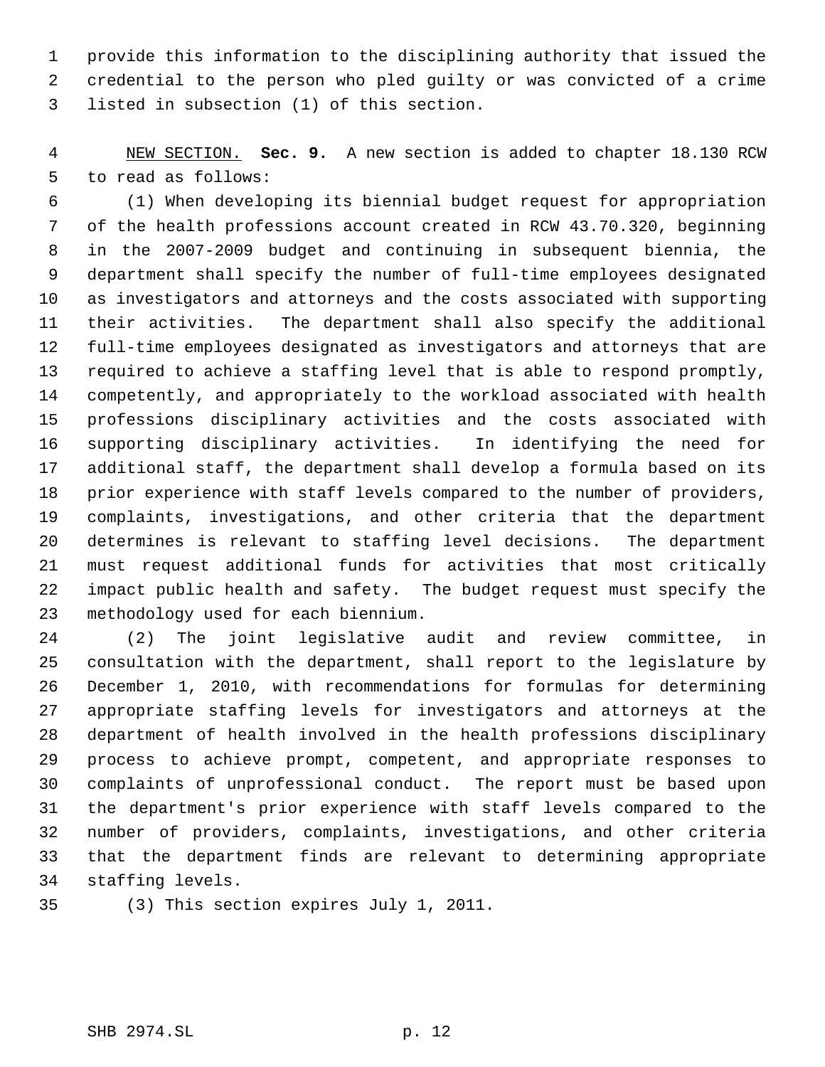provide this information to the disciplining authority that issued the credential to the person who pled guilty or was convicted of a crime listed in subsection (1) of this section.

 NEW SECTION. **Sec. 9.** A new section is added to chapter 18.130 RCW to read as follows:

 (1) When developing its biennial budget request for appropriation of the health professions account created in RCW 43.70.320, beginning in the 2007-2009 budget and continuing in subsequent biennia, the department shall specify the number of full-time employees designated as investigators and attorneys and the costs associated with supporting their activities. The department shall also specify the additional full-time employees designated as investigators and attorneys that are required to achieve a staffing level that is able to respond promptly, competently, and appropriately to the workload associated with health professions disciplinary activities and the costs associated with supporting disciplinary activities. In identifying the need for additional staff, the department shall develop a formula based on its prior experience with staff levels compared to the number of providers, complaints, investigations, and other criteria that the department determines is relevant to staffing level decisions. The department must request additional funds for activities that most critically impact public health and safety. The budget request must specify the methodology used for each biennium.

 (2) The joint legislative audit and review committee, in consultation with the department, shall report to the legislature by December 1, 2010, with recommendations for formulas for determining appropriate staffing levels for investigators and attorneys at the department of health involved in the health professions disciplinary process to achieve prompt, competent, and appropriate responses to complaints of unprofessional conduct. The report must be based upon the department's prior experience with staff levels compared to the number of providers, complaints, investigations, and other criteria that the department finds are relevant to determining appropriate staffing levels.

(3) This section expires July 1, 2011.